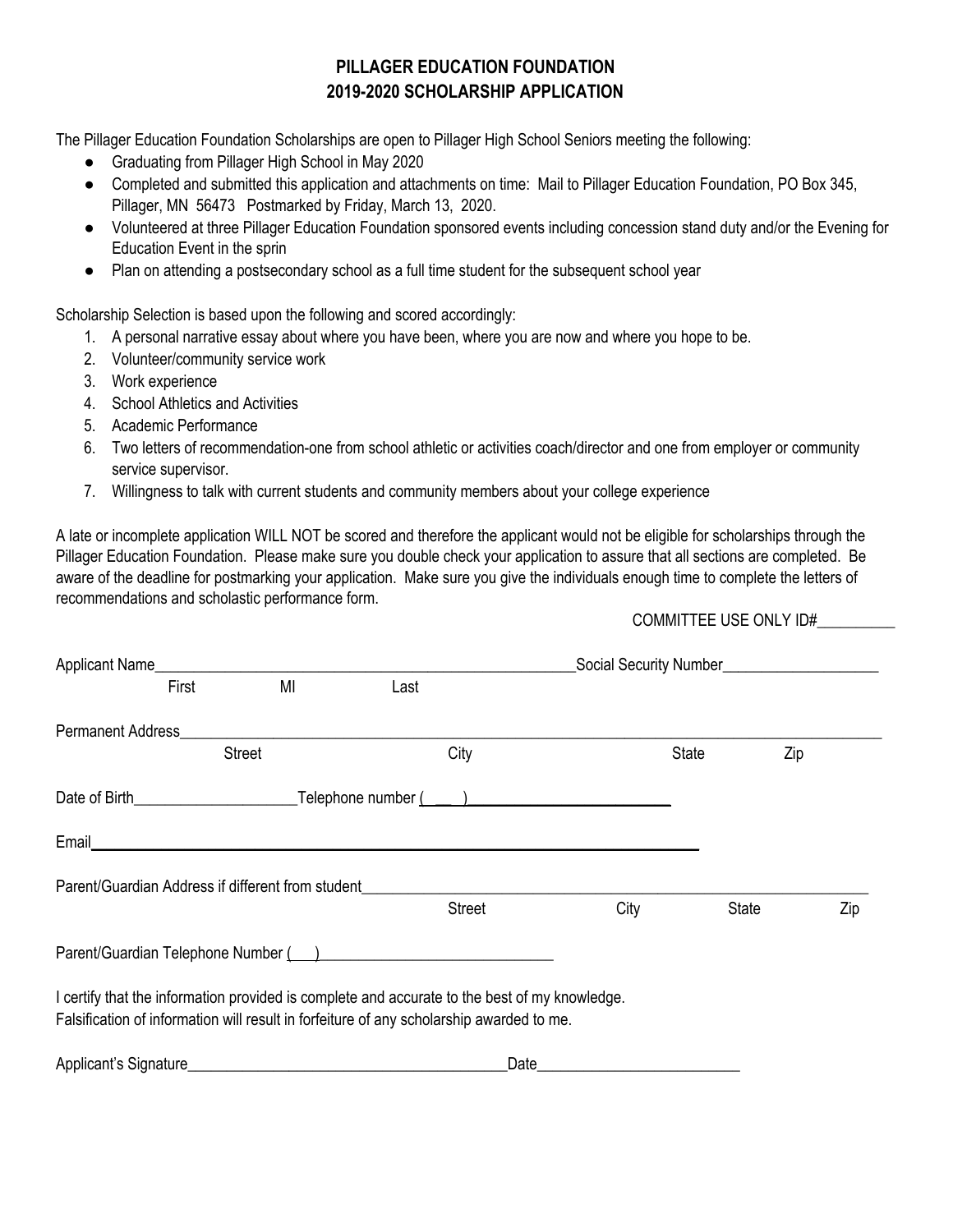# **PILLAGER EDUCATION FOUNDATION 2019-2020 SCHOLARSHIP APPLICATION**

The Pillager Education Foundation Scholarships are open to Pillager High School Seniors meeting the following:

- Graduating from Pillager High School in May 2020
- Completed and submitted this application and attachments on time: Mail to Pillager Education Foundation, PO Box 345, Pillager, MN 56473 Postmarked by Friday, March 13, 2020.
- Volunteered at three Pillager Education Foundation sponsored events including concession stand duty and/or the Evening for Education Event in the sprin
- Plan on attending a postsecondary school as a full time student for the subsequent school year

Scholarship Selection is based upon the following and scored accordingly:

- 1. A personal narrative essay about where you have been, where you are now and where you hope to be.
- 2. Volunteer/community service work
- 3. Work experience
- 4. School Athletics and Activities
- 5. Academic Performance
- 6. Two letters of recommendation-one from school athletic or activities coach/director and one from employer or community service supervisor.
- 7. Willingness to talk with current students and community members about your college experience

A late or incomplete application WILL NOT be scored and therefore the applicant would not be eligible for scholarships through the Pillager Education Foundation. Please make sure you double check your application to assure that all sections are completed. Be aware of the deadline for postmarking your application. Make sure you give the individuals enough time to complete the letters of recommendations and scholastic performance form.

COMMITTEE USE ONLY ID#\_\_\_\_\_\_\_\_\_\_

|                       | First | MI                                                                                                                                                                                                                                   | Last |                                                                                               |      |       |              |     |     |
|-----------------------|-------|--------------------------------------------------------------------------------------------------------------------------------------------------------------------------------------------------------------------------------------|------|-----------------------------------------------------------------------------------------------|------|-------|--------------|-----|-----|
|                       |       | Permanent Address <b>Exercísion Contract Contract Contract Contract Contract Contract Contract Contract Contract Contract Contract Contract Contract Contract Contract Contract Contract Contract Contract Contract Contract Con</b> |      |                                                                                               |      |       |              |     |     |
|                       |       | <b>Street</b>                                                                                                                                                                                                                        |      | City                                                                                          |      | State |              | Zip |     |
|                       |       |                                                                                                                                                                                                                                      |      |                                                                                               |      |       |              |     |     |
|                       |       |                                                                                                                                                                                                                                      |      |                                                                                               |      |       |              |     |     |
|                       |       | Parent/Guardian Address if different from student                                                                                                                                                                                    |      |                                                                                               |      |       |              |     |     |
|                       |       |                                                                                                                                                                                                                                      |      | <b>Street</b>                                                                                 | City |       | <b>State</b> |     | Zip |
|                       |       |                                                                                                                                                                                                                                      |      | Parent/Guardian Telephone Number () [2012 [2012 12:20:20 [2012 12:20:20]                      |      |       |              |     |     |
|                       |       |                                                                                                                                                                                                                                      |      | I certify that the information provided is complete and accurate to the best of my knowledge. |      |       |              |     |     |
|                       |       |                                                                                                                                                                                                                                      |      | Falsification of information will result in forfeiture of any scholarship awarded to me.      |      |       |              |     |     |
| Applicant's Signature |       |                                                                                                                                                                                                                                      |      | Date                                                                                          |      |       |              |     |     |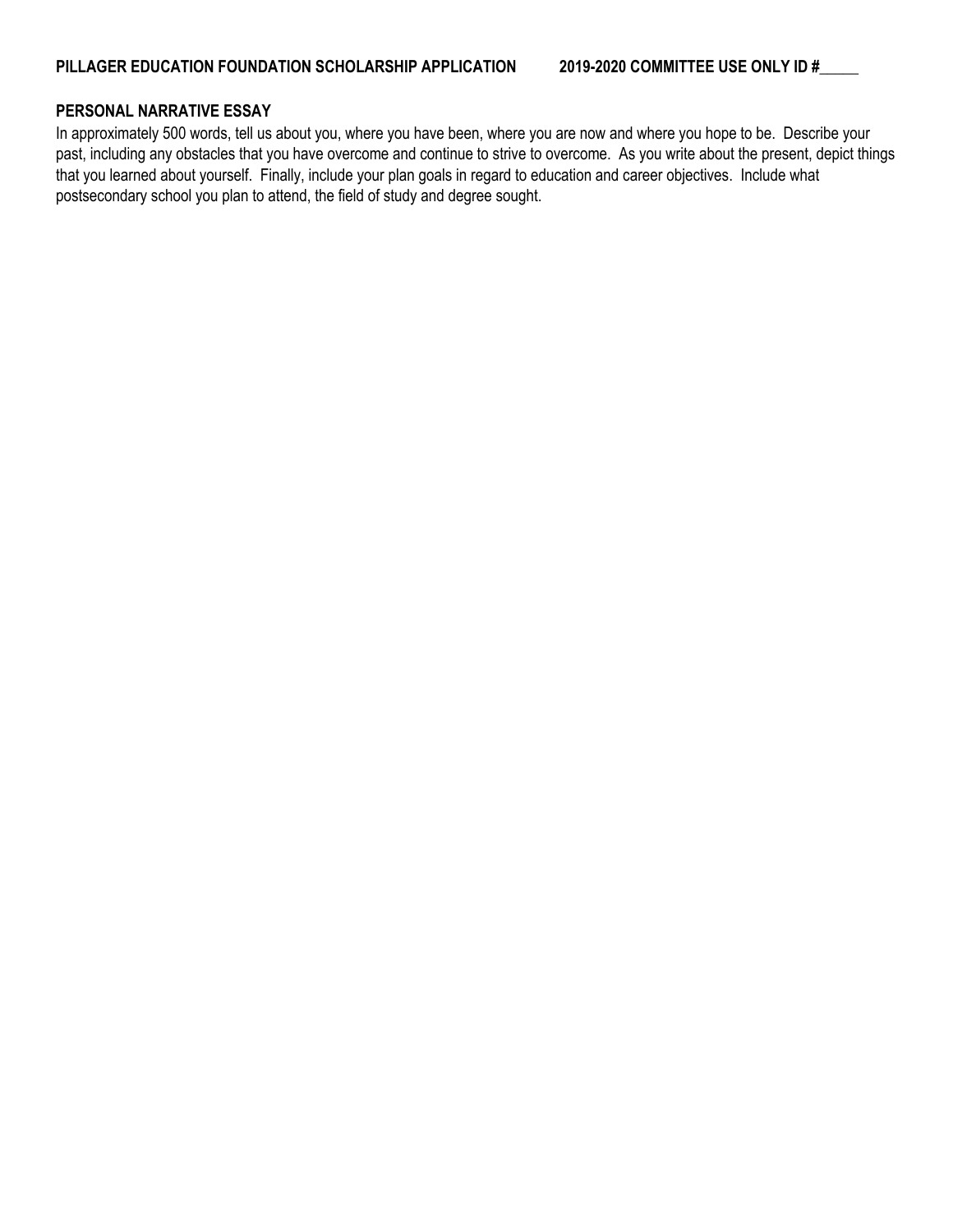### **PERSONAL NARRATIVE ESSAY**

In approximately 500 words, tell us about you, where you have been, where you are now and where you hope to be. Describe your past, including any obstacles that you have overcome and continue to strive to overcome. As you write about the present, depict things that you learned about yourself. Finally, include your plan goals in regard to education and career objectives. Include what postsecondary school you plan to attend, the field of study and degree sought.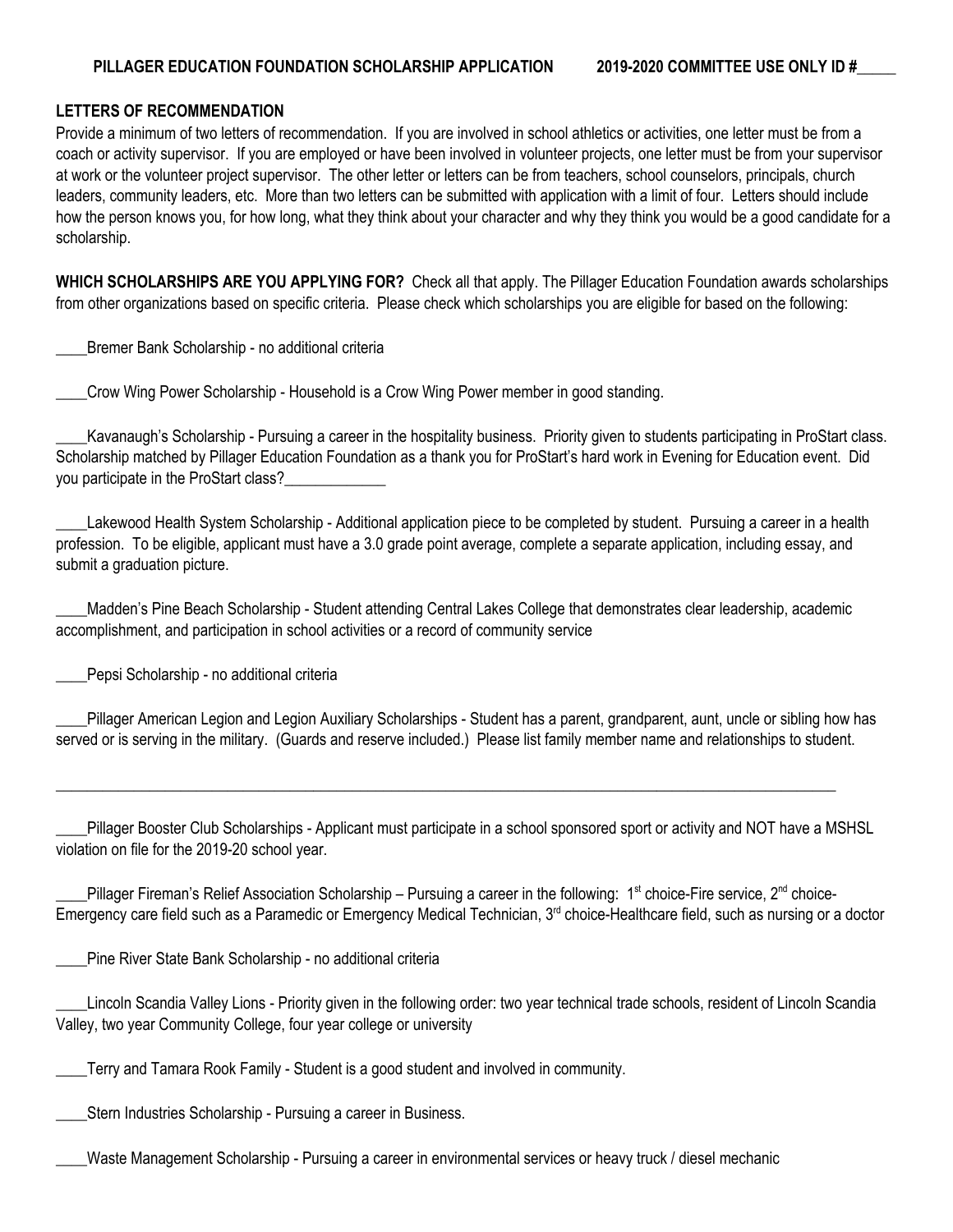## **LETTERS OF RECOMMENDATION**

Provide a minimum of two letters of recommendation. If you are involved in school athletics or activities, one letter must be from a coach or activity supervisor. If you are employed or have been involved in volunteer projects, one letter must be from your supervisor at work or the volunteer project supervisor. The other letter or letters can be from teachers, school counselors, principals, church leaders, community leaders, etc. More than two letters can be submitted with application with a limit of four. Letters should include how the person knows you, for how long, what they think about your character and why they think you would be a good candidate for a scholarship.

**WHICH SCHOLARSHIPS ARE YOU APPLYING FOR?** Check all that apply. The Pillager Education Foundation awards scholarships from other organizations based on specific criteria. Please check which scholarships you are eligible for based on the following:

\_\_\_\_Bremer Bank Scholarship - no additional criteria

\_\_\_\_Crow Wing Power Scholarship - Household is a Crow Wing Power member in good standing.

\_\_\_\_Kavanaugh's Scholarship - Pursuing a career in the hospitality business. Priority given to students participating in ProStart class. Scholarship matched by Pillager Education Foundation as a thank you for ProStart's hard work in Evening for Education event. Did you participate in the ProStart class?

Lakewood Health System Scholarship - Additional application piece to be completed by student. Pursuing a career in a health profession. To be eligible, applicant must have a 3.0 grade point average, complete a separate application, including essay, and submit a graduation picture.

\_\_\_\_Madden's Pine Beach Scholarship - Student attending Central Lakes College that demonstrates clear leadership, academic accomplishment, and participation in school activities or a record of community service

Pepsi Scholarship - no additional criteria

\_\_\_\_Pillager American Legion and Legion Auxiliary Scholarships - Student has a parent, grandparent, aunt, uncle or sibling how has served or is serving in the military. (Guards and reserve included.) Please list family member name and relationships to student.

Pillager Booster Club Scholarships - Applicant must participate in a school sponsored sport or activity and NOT have a MSHSL violation on file for the 2019-20 school year.

 $\_$  , and the set of the set of the set of the set of the set of the set of the set of the set of the set of the set of the set of the set of the set of the set of the set of the set of the set of the set of the set of th

Fillager Fireman's Relief Association Scholarship – Pursuing a career in the following: 1<sup>st</sup> choice-Fire service, 2<sup>nd</sup> choice-Emergency care field such as a Paramedic or Emergency Medical Technician, 3<sup>rd</sup> choice-Healthcare field, such as nursing or a doctor

Pine River State Bank Scholarship - no additional criteria

Lincoln Scandia Valley Lions - Priority given in the following order: two year technical trade schools, resident of Lincoln Scandia Valley, two year Community College, four year college or university

\_\_\_\_Terry and Tamara Rook Family - Student is a good student and involved in community.

Stern Industries Scholarship - Pursuing a career in Business.

Waste Management Scholarship - Pursuing a career in environmental services or heavy truck / diesel mechanic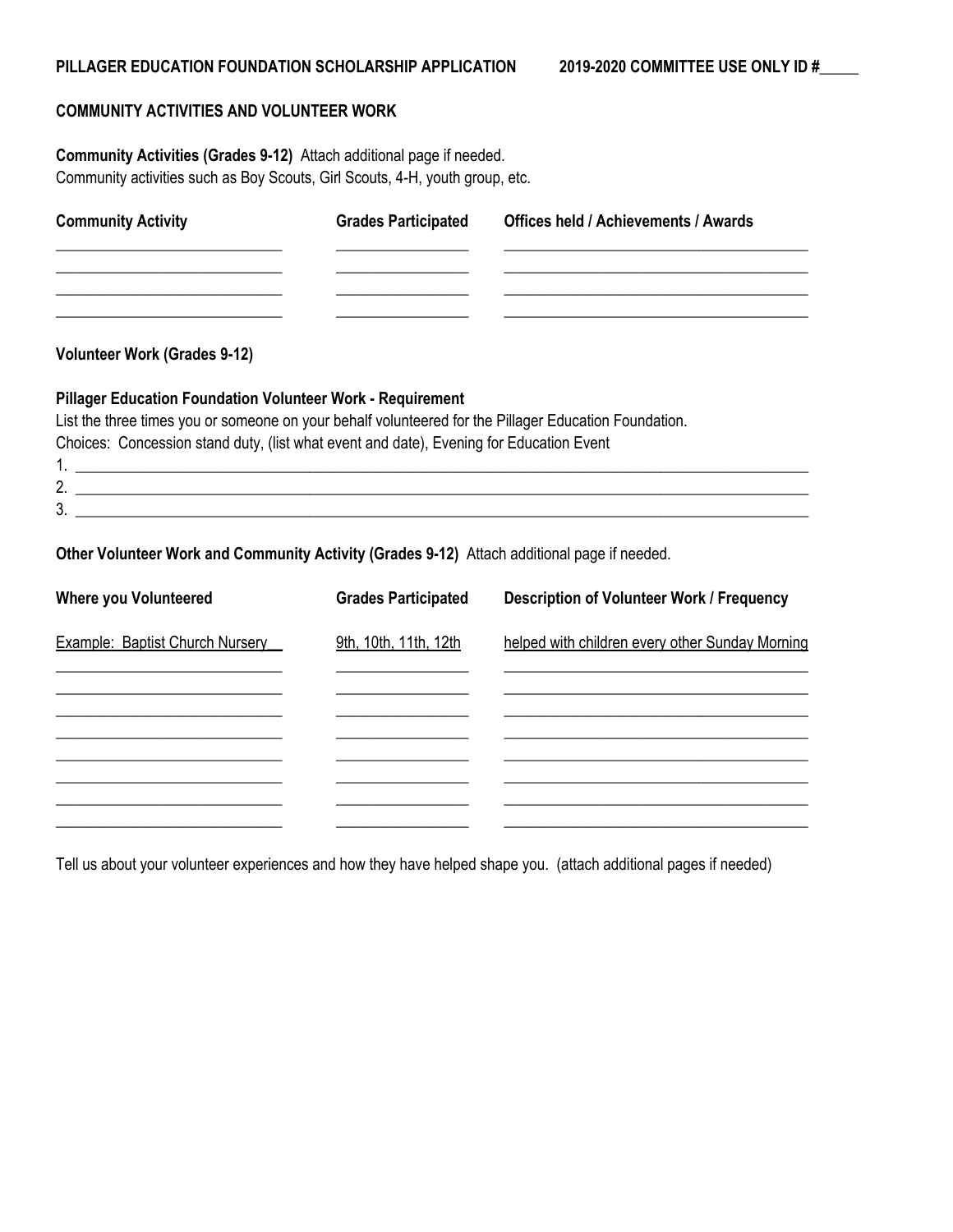#### **COMMUNITY ACTIVITIES AND VOLUNTEER WORK**

**Community Activities (Grades 9-12)** Attach additional page if needed. Community activities such as Boy Scouts, Girl Scouts, 4-H, youth group, etc.

| <b>Community Activity</b>                                | <b>Grades Participated</b> | <b>Offices held / Achievements / Awards</b> |
|----------------------------------------------------------|----------------------------|---------------------------------------------|
|                                                          |                            |                                             |
|                                                          |                            |                                             |
| <b>Volunteer Work (Grades 9-12)</b>                      |                            |                                             |
| Dilleger Education Foundation Volunteer Wark Demurrement |                            |                                             |

#### **Pillager Education Foundation Volunteer Work - Requirement**

List the three times you or someone on your behalf volunteered for the Pillager Education Foundation. Choices: Concession stand duty, (list what event and date), Evening for Education Event

1. \_\_\_\_\_\_\_\_\_\_\_\_\_\_\_\_\_\_\_\_\_\_\_\_\_\_\_\_\_\_\_\_\_\_\_\_\_\_\_\_\_\_\_\_\_\_\_\_\_\_\_\_\_\_\_\_\_\_\_\_\_\_\_\_\_\_\_\_\_\_\_\_\_\_\_\_\_\_\_\_\_\_\_\_\_\_\_\_\_\_\_\_\_\_  $2.$ 3. \_\_\_\_\_\_\_\_\_\_\_\_\_\_\_\_\_\_\_\_\_\_\_\_\_\_\_\_\_\_\_\_\_\_\_\_\_\_\_\_\_\_\_\_\_\_\_\_\_\_\_\_\_\_\_\_\_\_\_\_\_\_\_\_\_\_\_\_\_\_\_\_\_\_\_\_\_\_\_\_\_\_\_\_\_\_\_\_\_\_\_\_\_\_

## **Other Volunteer Work and Community Activity (Grades 9-12)** Attach additional page if needed.

| <b>Where you Volunteered</b>    | <b>Grades Participated</b> | <b>Description of Volunteer Work / Frequency</b> |
|---------------------------------|----------------------------|--------------------------------------------------|
| Example: Baptist Church Nursery | 9th, 10th, 11th, 12th      | helped with children every other Sunday Morning  |
|                                 |                            |                                                  |
|                                 |                            |                                                  |
|                                 |                            |                                                  |
|                                 |                            |                                                  |
|                                 |                            |                                                  |

Tell us about your volunteer experiences and how they have helped shape you. (attach additional pages if needed)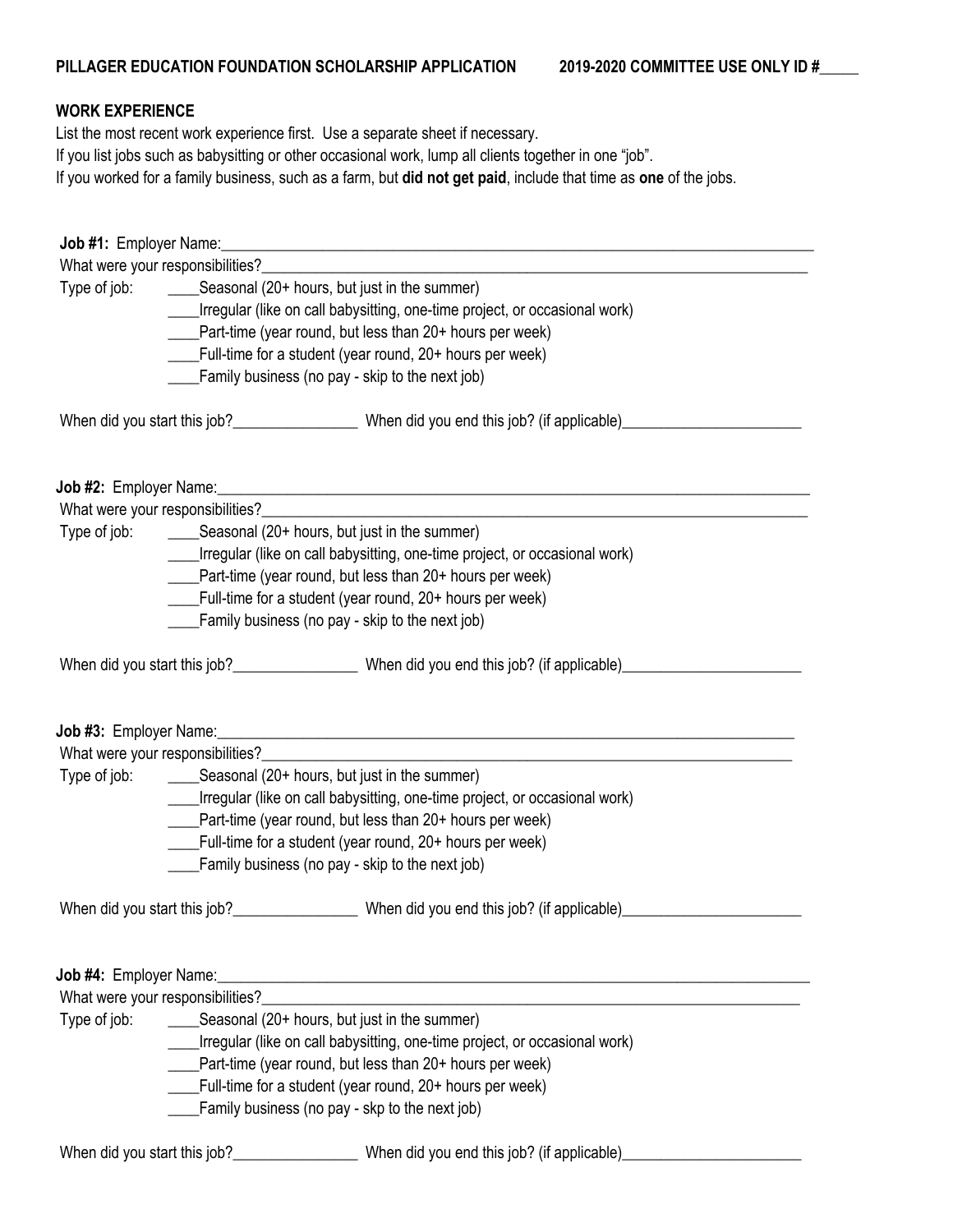## **WORK EXPERIENCE**

List the most recent work experience first. Use a separate sheet if necessary. If you list jobs such as babysitting or other occasional work, lump all clients together in one "job". If you worked for a family business, such as a farm, but **did not get paid**, include that time as **one** of the jobs.

|              |                                                                            | _____Irregular (like on call babysitting, one-time project, or occasional work)                                |  |  |  |  |  |
|--------------|----------------------------------------------------------------------------|----------------------------------------------------------------------------------------------------------------|--|--|--|--|--|
|              |                                                                            | ____Part-time (year round, but less than 20+ hours per week)                                                   |  |  |  |  |  |
|              |                                                                            | Full-time for a student (year round, 20+ hours per week)                                                       |  |  |  |  |  |
|              |                                                                            | Family business (no pay - skip to the next job)                                                                |  |  |  |  |  |
|              |                                                                            | When did you start this job?______________________When did you end this job? (if applicable)__________________ |  |  |  |  |  |
|              |                                                                            |                                                                                                                |  |  |  |  |  |
|              |                                                                            |                                                                                                                |  |  |  |  |  |
|              |                                                                            |                                                                                                                |  |  |  |  |  |
|              |                                                                            | Irregular (like on call babysitting, one-time project, or occasional work)                                     |  |  |  |  |  |
|              |                                                                            | ____Part-time (year round, but less than 20+ hours per week)                                                   |  |  |  |  |  |
|              |                                                                            | Full-time for a student (year round, 20+ hours per week)                                                       |  |  |  |  |  |
|              |                                                                            | Family business (no pay - skip to the next job)                                                                |  |  |  |  |  |
|              |                                                                            | When did you start this job?______________________When did you end this job? (if applicable)__________________ |  |  |  |  |  |
|              |                                                                            |                                                                                                                |  |  |  |  |  |
|              |                                                                            |                                                                                                                |  |  |  |  |  |
|              | Irregular (like on call babysitting, one-time project, or occasional work) |                                                                                                                |  |  |  |  |  |
|              |                                                                            | ___Part-time (year round, but less than 20+ hours per week)                                                    |  |  |  |  |  |
|              |                                                                            | ____Full-time for a student (year round, 20+ hours per week)                                                   |  |  |  |  |  |
|              |                                                                            | Family business (no pay - skip to the next job)                                                                |  |  |  |  |  |
|              |                                                                            |                                                                                                                |  |  |  |  |  |
|              |                                                                            |                                                                                                                |  |  |  |  |  |
|              | What were your responsibilities?_______                                    |                                                                                                                |  |  |  |  |  |
| Type of job: |                                                                            | _____Seasonal (20+ hours, but just in the summer)                                                              |  |  |  |  |  |
|              | Irregular (like on call babysitting, one-time project, or occasional work) |                                                                                                                |  |  |  |  |  |
|              |                                                                            | Part-time (year round, but less than 20+ hours per week)                                                       |  |  |  |  |  |
|              |                                                                            | Full-time for a student (year round, 20+ hours per week)                                                       |  |  |  |  |  |
|              |                                                                            | Family business (no pay - skp to the next job)                                                                 |  |  |  |  |  |
|              |                                                                            | When did you start this job?_______________________When did you end this job? (if applicable)______            |  |  |  |  |  |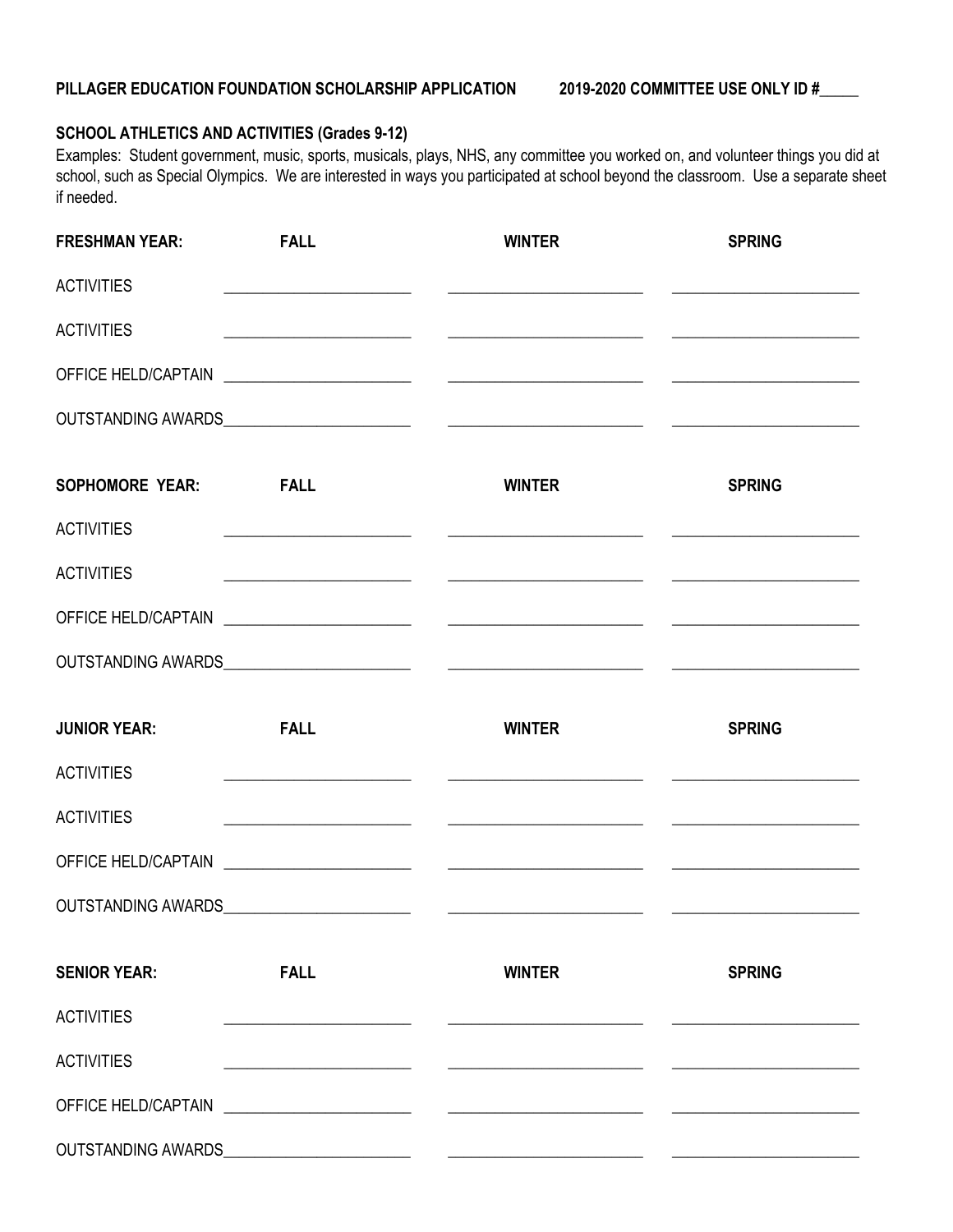# **SCHOOL ATHLETICS AND ACTIVITIES (Grades 9-12)**

Examples: Student government, music, sports, musicals, plays, NHS, any committee you worked on, and volunteer things you did at school, such as Special Olympics. We are interested in ways you participated at school beyond the classroom. Use a separate sheet if needed.

| <b>FRESHMAN YEAR:</b>  | <b>FALL</b>                                                                                                           | <b>WINTER</b>                                                                   | <b>SPRING</b> |
|------------------------|-----------------------------------------------------------------------------------------------------------------------|---------------------------------------------------------------------------------|---------------|
| <b>ACTIVITIES</b>      |                                                                                                                       | <u> 1990 - Johann John Stone, mars et al. (1990)</u>                            |               |
| <b>ACTIVITIES</b>      |                                                                                                                       | <u> 1999 - Jan James James (f. 1989)</u>                                        |               |
|                        |                                                                                                                       |                                                                                 |               |
|                        |                                                                                                                       |                                                                                 |               |
| <b>SOPHOMORE YEAR:</b> | <b>EALL</b>                                                                                                           | <b>WINTER</b>                                                                   | <b>SPRING</b> |
| <b>ACTIVITIES</b>      |                                                                                                                       |                                                                                 |               |
| <b>ACTIVITIES</b>      |                                                                                                                       |                                                                                 |               |
|                        |                                                                                                                       |                                                                                 |               |
|                        |                                                                                                                       |                                                                                 |               |
| <b>JUNIOR YEAR:</b>    | <b>FALL</b>                                                                                                           | <b>WINTER</b>                                                                   | <b>SPRING</b> |
| <b>ACTIVITIES</b>      |                                                                                                                       | <u> 1990 - Jan James James, martin amerikan basar (</u>                         |               |
| <b>ACTIVITIES</b>      |                                                                                                                       | <u> 2000 - Andrea Andrew Maria (h. 1982).</u><br>2001 - Andrew Maria (h. 1902). |               |
|                        |                                                                                                                       |                                                                                 |               |
|                        |                                                                                                                       |                                                                                 |               |
| <b>SENIOR YEAR:</b>    | <b>FALL</b>                                                                                                           | <b>WINTER</b>                                                                   | <b>SPRING</b> |
| <b>ACTIVITIES</b>      | <u> 1986 - Johann Harry Harry Harry Harry Harry Harry Harry Harry Harry Harry Harry Harry Harry Harry Harry Harry</u> |                                                                                 |               |
|                        |                                                                                                                       |                                                                                 |               |
| <b>ACTIVITIES</b>      |                                                                                                                       |                                                                                 |               |
|                        |                                                                                                                       |                                                                                 |               |